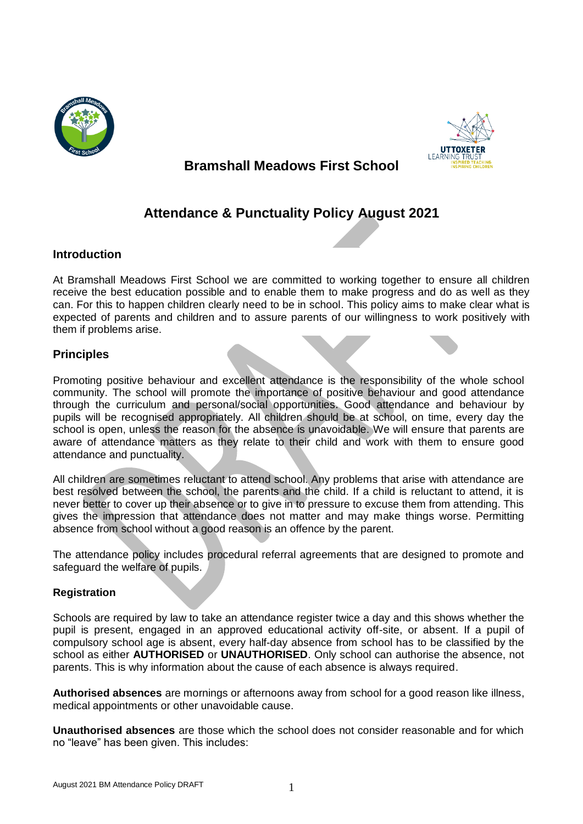



# **Bramshall Meadows First School**

# **Attendance & Punctuality Policy August 2021**

# **Introduction**

At Bramshall Meadows First School we are committed to working together to ensure all children receive the best education possible and to enable them to make progress and do as well as they can. For this to happen children clearly need to be in school. This policy aims to make clear what is expected of parents and children and to assure parents of our willingness to work positively with them if problems arise.

# **Principles**

Promoting positive behaviour and excellent attendance is the responsibility of the whole school community. The school will promote the importance of positive behaviour and good attendance through the curriculum and personal/social opportunities. Good attendance and behaviour by pupils will be recognised appropriately. All children should be at school, on time, every day the school is open, unless the reason for the absence is unavoidable. We will ensure that parents are aware of attendance matters as they relate to their child and work with them to ensure good attendance and punctuality.

All children are sometimes reluctant to attend school. Any problems that arise with attendance are best resolved between the school, the parents and the child. If a child is reluctant to attend, it is never better to cover up their absence or to give in to pressure to excuse them from attending. This gives the impression that attendance does not matter and may make things worse. Permitting absence from school without a good reason is an offence by the parent.

The attendance policy includes procedural referral agreements that are designed to promote and safeguard the welfare of pupils.

# **Registration**

Schools are required by law to take an attendance register twice a day and this shows whether the pupil is present, engaged in an approved educational activity off-site, or absent. If a pupil of compulsory school age is absent, every half-day absence from school has to be classified by the school as either **AUTHORISED** or **UNAUTHORISED**. Only school can authorise the absence, not parents. This is why information about the cause of each absence is always required.

**Authorised absences** are mornings or afternoons away from school for a good reason like illness, medical appointments or other unavoidable cause.

**Unauthorised absences** are those which the school does not consider reasonable and for which no "leave" has been given. This includes: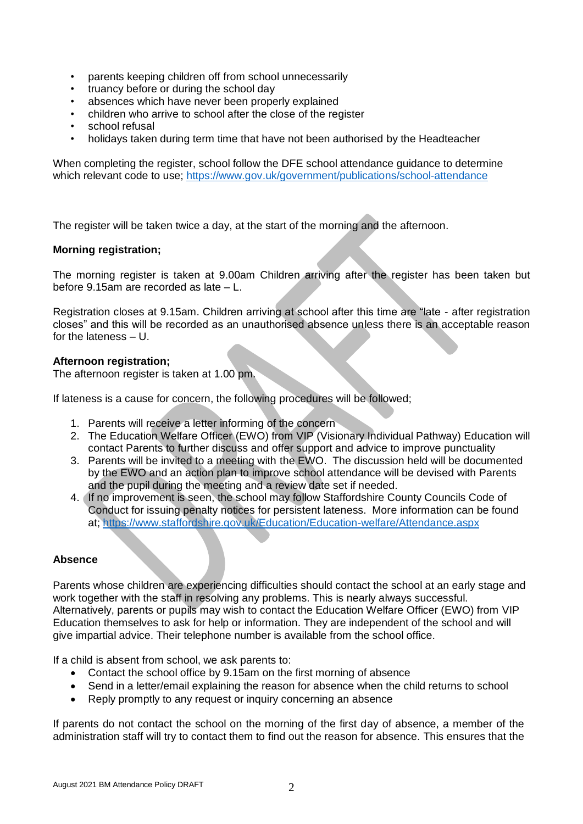- parents keeping children off from school unnecessarily
- truancy before or during the school day
- absences which have never been properly explained
- children who arrive to school after the close of the register
- school refusal
- holidays taken during term time that have not been authorised by the Headteacher

When completing the register, school follow the DFE school attendance guidance to determine which relevant code to use;<https://www.gov.uk/government/publications/school-attendance>

The register will be taken twice a day, at the start of the morning and the afternoon.

## **Morning registration;**

The morning register is taken at 9.00am Children arriving after the register has been taken but before 9.15am are recorded as late – L.

Registration closes at 9.15am. Children arriving at school after this time are "late - after registration closes" and this will be recorded as an unauthorised absence unless there is an acceptable reason for the lateness – U.

## **Afternoon registration;**

The afternoon register is taken at 1.00 pm.

If lateness is a cause for concern, the following procedures will be followed;

- 1. Parents will receive a letter informing of the concern
- 2. The Education Welfare Officer (EWO) from VIP (Visionary Individual Pathway) Education will contact Parents to further discuss and offer support and advice to improve punctuality
- 3. Parents will be invited to a meeting with the EWO. The discussion held will be documented by the EWO and an action plan to improve school attendance will be devised with Parents and the pupil during the meeting and a review date set if needed.
- 4. If no improvement is seen, the school may follow Staffordshire County Councils Code of Conduct for issuing penalty notices for persistent lateness. More information can be found at;<https://www.staffordshire.gov.uk/Education/Education-welfare/Attendance.aspx>

#### **Absence**

Parents whose children are experiencing difficulties should contact the school at an early stage and work together with the staff in resolving any problems. This is nearly always successful. Alternatively, parents or pupils may wish to contact the Education Welfare Officer (EWO) from VIP Education themselves to ask for help or information. They are independent of the school and will give impartial advice. Their telephone number is available from the school office.

If a child is absent from school, we ask parents to:

- Contact the school office by 9.15am on the first morning of absence
- Send in a letter/email explaining the reason for absence when the child returns to school
- Reply promptly to any request or inquiry concerning an absence

If parents do not contact the school on the morning of the first day of absence, a member of the administration staff will try to contact them to find out the reason for absence. This ensures that the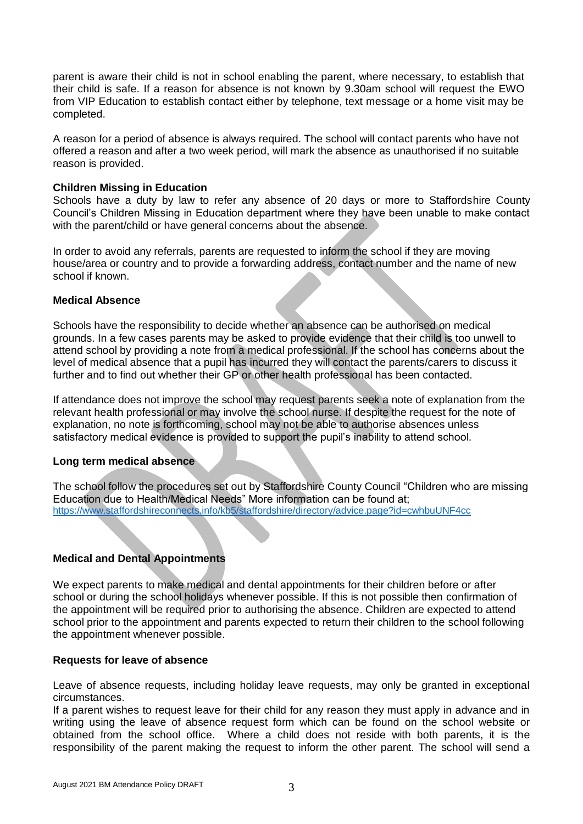parent is aware their child is not in school enabling the parent, where necessary, to establish that their child is safe. If a reason for absence is not known by 9.30am school will request the EWO from VIP Education to establish contact either by telephone, text message or a home visit may be completed.

A reason for a period of absence is always required. The school will contact parents who have not offered a reason and after a two week period, will mark the absence as unauthorised if no suitable reason is provided.

## **Children Missing in Education**

Schools have a duty by law to refer any absence of 20 days or more to Staffordshire County Council's Children Missing in Education department where they have been unable to make contact with the parent/child or have general concerns about the absence.

In order to avoid any referrals, parents are requested to inform the school if they are moving house/area or country and to provide a forwarding address, contact number and the name of new school if known.

## **Medical Absence**

Schools have the responsibility to decide whether an absence can be authorised on medical grounds. In a few cases parents may be asked to provide evidence that their child is too unwell to attend school by providing a note from a medical professional. If the school has concerns about the level of medical absence that a pupil has incurred they will contact the parents/carers to discuss it further and to find out whether their GP or other health professional has been contacted.

If attendance does not improve the school may request parents seek a note of explanation from the relevant health professional or may involve the school nurse. If despite the request for the note of explanation, no note is forthcoming, school may not be able to authorise absences unless satisfactory medical evidence is provided to support the pupil's inability to attend school.

# **Long term medical absence**

The school follow the procedures set out by Staffordshire County Council "Children who are missing Education due to Health/Medical Needs" More information can be found at; <https://www.staffordshireconnects.info/kb5/staffordshire/directory/advice.page?id=cwhbuUNF4cc>

# **Medical and Dental Appointments**

We expect parents to make medical and dental appointments for their children before or after school or during the school holidays whenever possible. If this is not possible then confirmation of the appointment will be required prior to authorising the absence. Children are expected to attend school prior to the appointment and parents expected to return their children to the school following the appointment whenever possible.

#### **Requests for leave of absence**

Leave of absence requests, including holiday leave requests, may only be granted in exceptional circumstances.

If a parent wishes to request leave for their child for any reason they must apply in advance and in writing using the leave of absence request form which can be found on the school website or obtained from the school office. Where a child does not reside with both parents, it is the responsibility of the parent making the request to inform the other parent. The school will send a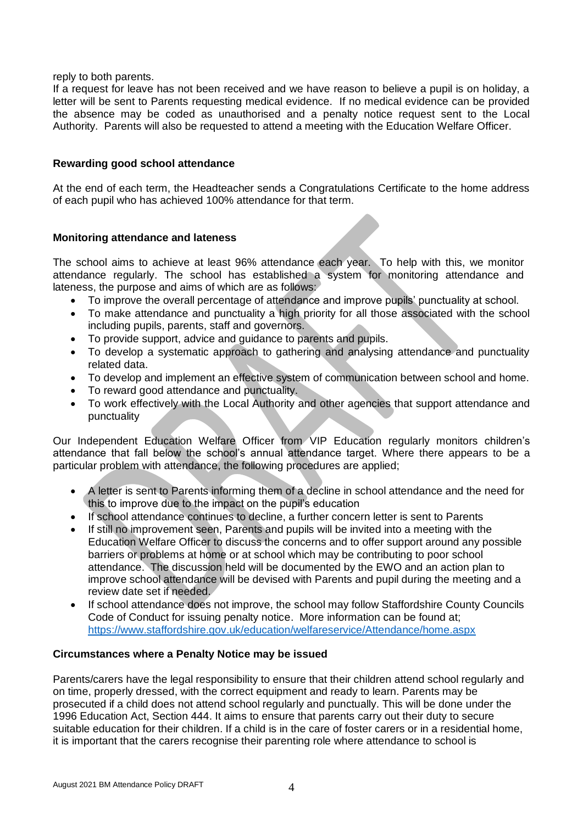reply to both parents.

If a request for leave has not been received and we have reason to believe a pupil is on holiday, a letter will be sent to Parents requesting medical evidence. If no medical evidence can be provided the absence may be coded as unauthorised and a penalty notice request sent to the Local Authority. Parents will also be requested to attend a meeting with the Education Welfare Officer.

# **Rewarding good school attendance**

At the end of each term, the Headteacher sends a Congratulations Certificate to the home address of each pupil who has achieved 100% attendance for that term.

## **Monitoring attendance and lateness**

The school aims to achieve at least 96% attendance each year. To help with this, we monitor attendance regularly. The school has established a system for monitoring attendance and lateness, the purpose and aims of which are as follows:

- To improve the overall percentage of attendance and improve pupils' punctuality at school.
- To make attendance and punctuality a high priority for all those associated with the school including pupils, parents, staff and governors.
- To provide support, advice and guidance to parents and pupils.
- To develop a systematic approach to gathering and analysing attendance and punctuality related data.
- To develop and implement an effective system of communication between school and home.
- To reward good attendance and punctuality.
- To work effectively with the Local Authority and other agencies that support attendance and punctuality

Our Independent Education Welfare Officer from VIP Education regularly monitors children's attendance that fall below the school's annual attendance target. Where there appears to be a particular problem with attendance, the following procedures are applied;

- A letter is sent to Parents informing them of a decline in school attendance and the need for this to improve due to the impact on the pupil's education
- If school attendance continues to decline, a further concern letter is sent to Parents
- If still no improvement seen, Parents and pupils will be invited into a meeting with the Education Welfare Officer to discuss the concerns and to offer support around any possible barriers or problems at home or at school which may be contributing to poor school attendance. The discussion held will be documented by the EWO and an action plan to improve school attendance will be devised with Parents and pupil during the meeting and a review date set if needed.
- If school attendance does not improve, the school may follow Staffordshire County Councils Code of Conduct for issuing penalty notice. More information can be found at; <https://www.staffordshire.gov.uk/education/welfareservice/Attendance/home.aspx>

#### **Circumstances where a Penalty Notice may be issued**

Parents/carers have the legal responsibility to ensure that their children attend school regularly and on time, properly dressed, with the correct equipment and ready to learn. Parents may be prosecuted if a child does not attend school regularly and punctually. This will be done under the 1996 Education Act, Section 444. It aims to ensure that parents carry out their duty to secure suitable education for their children. If a child is in the care of foster carers or in a residential home, it is important that the carers recognise their parenting role where attendance to school is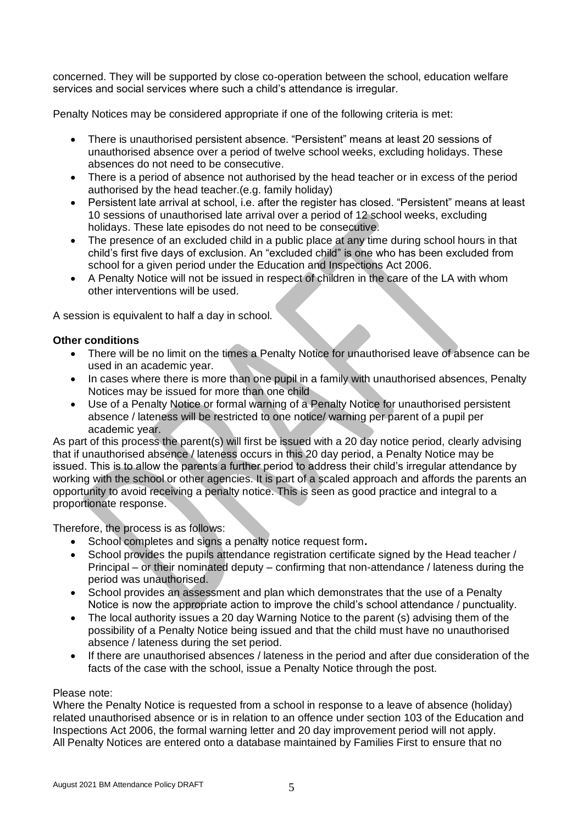concerned. They will be supported by close co-operation between the school, education welfare services and social services where such a child's attendance is irregular.

Penalty Notices may be considered appropriate if one of the following criteria is met:

- There is unauthorised persistent absence. "Persistent" means at least 20 sessions of unauthorised absence over a period of twelve school weeks, excluding holidays. These absences do not need to be consecutive.
- There is a period of absence not authorised by the head teacher or in excess of the period authorised by the head teacher.(e.g. family holiday)
- Persistent late arrival at school, i.e. after the register has closed. "Persistent" means at least 10 sessions of unauthorised late arrival over a period of 12 school weeks, excluding holidays. These late episodes do not need to be consecutive.
- The presence of an excluded child in a public place at any time during school hours in that child's first five days of exclusion. An "excluded child" is one who has been excluded from school for a given period under the Education and Inspections Act 2006.
- A Penalty Notice will not be issued in respect of children in the care of the LA with whom other interventions will be used.

A session is equivalent to half a day in school.

# **Other conditions**

- There will be no limit on the times a Penalty Notice for unauthorised leave of absence can be used in an academic year.
- In cases where there is more than one pupil in a family with unauthorised absences, Penalty Notices may be issued for more than one child
- Use of a Penalty Notice or formal warning of a Penalty Notice for unauthorised persistent absence / lateness will be restricted to one notice/ warning per parent of a pupil per academic year.

As part of this process the parent(s) will first be issued with a 20 day notice period, clearly advising that if unauthorised absence / lateness occurs in this 20 day period, a Penalty Notice may be issued. This is to allow the parents a further period to address their child's irregular attendance by working with the school or other agencies. It is part of a scaled approach and affords the parents an opportunity to avoid receiving a penalty notice. This is seen as good practice and integral to a proportionate response.

Therefore, the process is as follows:

- School completes and signs a penalty notice request form**.**
- School provides the pupils attendance registration certificate signed by the Head teacher / Principal – or their nominated deputy – confirming that non-attendance / lateness during the period was unauthorised.
- School provides an assessment and plan which demonstrates that the use of a Penalty Notice is now the appropriate action to improve the child's school attendance / punctuality.
- The local authority issues a 20 day Warning Notice to the parent (s) advising them of the possibility of a Penalty Notice being issued and that the child must have no unauthorised absence / lateness during the set period.
- If there are unauthorised absences / lateness in the period and after due consideration of the facts of the case with the school, issue a Penalty Notice through the post.

#### Please note:

Where the Penalty Notice is requested from a school in response to a leave of absence (holiday) related unauthorised absence or is in relation to an offence under section 103 of the Education and Inspections Act 2006, the formal warning letter and 20 day improvement period will not apply. All Penalty Notices are entered onto a database maintained by Families First to ensure that no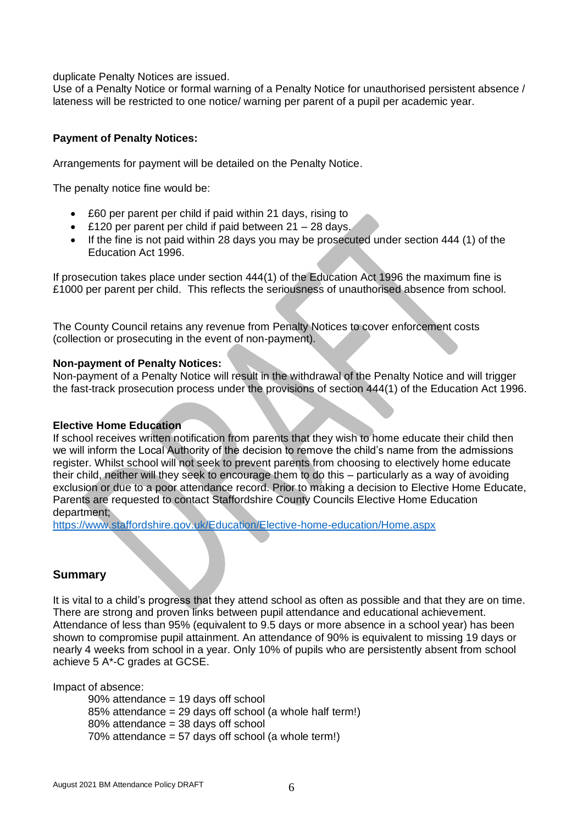duplicate Penalty Notices are issued.

Use of a Penalty Notice or formal warning of a Penalty Notice for unauthorised persistent absence / lateness will be restricted to one notice/ warning per parent of a pupil per academic year.

## **Payment of Penalty Notices:**

Arrangements for payment will be detailed on the Penalty Notice.

The penalty notice fine would be:

- £60 per parent per child if paid within 21 days, rising to
- £120 per parent per child if paid between 21 28 days.
- If the fine is not paid within 28 days you may be prosecuted under section 444 (1) of the Education Act 1996.

If prosecution takes place under section 444(1) of the Education Act 1996 the maximum fine is £1000 per parent per child. This reflects the seriousness of unauthorised absence from school.

The County Council retains any revenue from Penalty Notices to cover enforcement costs (collection or prosecuting in the event of non-payment).

#### **Non-payment of Penalty Notices:**

Non-payment of a Penalty Notice will result in the withdrawal of the Penalty Notice and will trigger the fast-track prosecution process under the provisions of section 444(1) of the Education Act 1996.

#### **Elective Home Education**

If school receives written notification from parents that they wish to home educate their child then we will inform the Local Authority of the decision to remove the child's name from the admissions register. Whilst school will not seek to prevent parents from choosing to electively home educate their child, neither will they seek to encourage them to do this – particularly as a way of avoiding exclusion or due to a poor attendance record. Prior to making a decision to Elective Home Educate, Parents are requested to contact Staffordshire County Councils Elective Home Education department;

<https://www.staffordshire.gov.uk/Education/Elective-home-education/Home.aspx>

# **Summary**

It is vital to a child's progress that they attend school as often as possible and that they are on time. There are strong and proven links between pupil attendance and educational achievement. Attendance of less than 95% (equivalent to 9.5 days or more absence in a school year) has been shown to compromise pupil attainment. An attendance of 90% is equivalent to missing 19 days or nearly 4 weeks from school in a year. Only 10% of pupils who are persistently absent from school achieve 5 A\*-C grades at GCSE.

Impact of absence:

90% attendance = 19 days off school 85% attendance = 29 days off school (a whole half term!) 80% attendance = 38 days off school 70% attendance = 57 days off school (a whole term!)